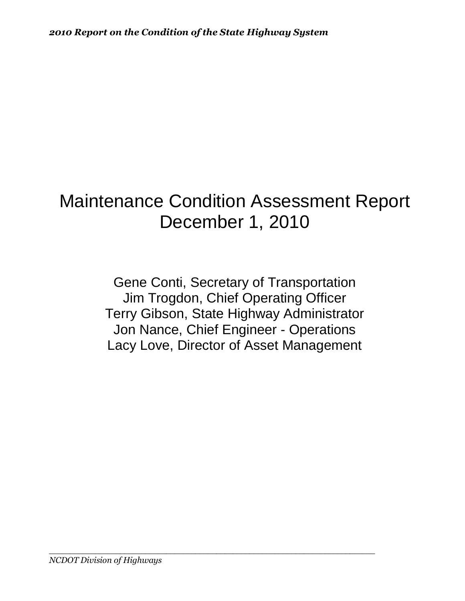# Maintenance Condition Assessment Report December 1, 2010

Gene Conti, Secretary of Transportation Jim Trogdon, Chief Operating Officer Terry Gibson, State Highway Administrator Jon Nance, Chief Engineer - Operations Lacy Love, Director of Asset Management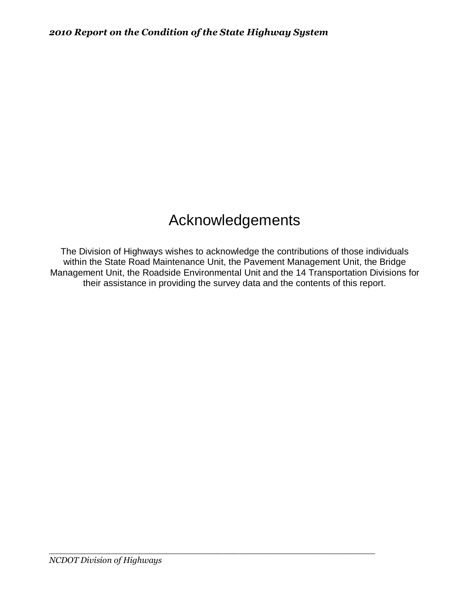# Acknowledgements

The Division of Highways wishes to acknowledge the contributions of those individuals within the State Road Maintenance Unit, the Pavement Management Unit, the Bridge Management Unit, the Roadside Environmental Unit and the 14 Transportation Divisions for their assistance in providing the survey data and the contents of this report.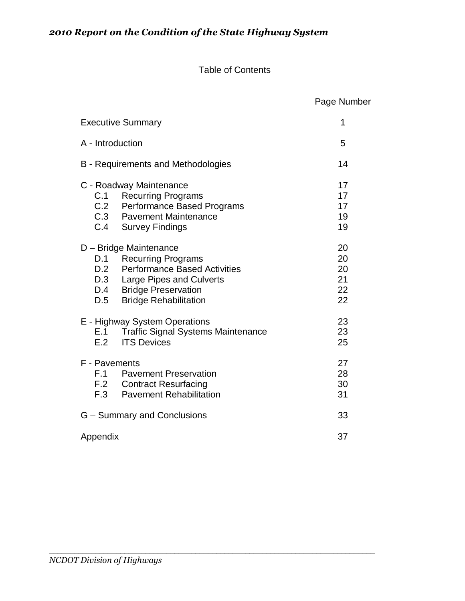#### Table of Contents

 Page Number Executive Summary **1** A - Introduction 5 B - Requirements and Methodologies 14 C - Roadway Maintenance 17 C.1 Recurring Programs 17<br>
C.2 Performance Based Programs 17 Performance Based Programs 17 C.3 Pavement Maintenance 19 C.4 Survey Findings 19 D – Bridge Maintenance 20 D.1 Recurring Programs 20<br>
D.2 Performance Based Activities 20 Performance Based Activities 20 D.3 Large Pipes and Culverts 21 D.4 Bridge Preservation 22 D.5 Bridge Rehabilitation 22 E - Highway System Operations 23 E.1 Traffic Signal Systems Maintenance 23 E.2 ITS Devices 25 F - Pavements 27 F.1 Pavement Preservation 28 F.2 Contract Resurfacing 30 F.3 Pavement Rehabilitation **F.3** Pavement Rehabilitation G – Summary and Conclusions 33 Appendix 37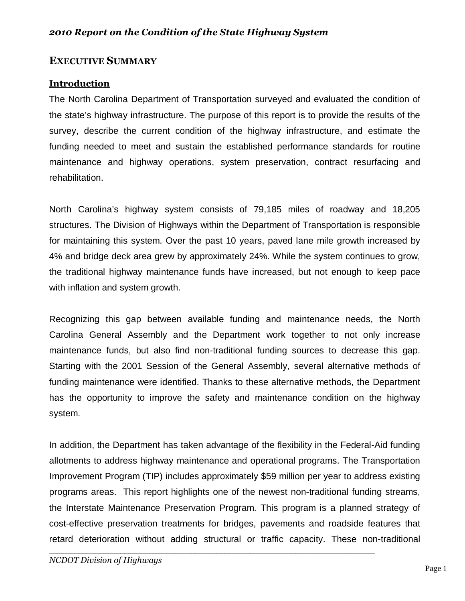## **EXECUTIVE SUMMARY**

## **Introduction**

The North Carolina Department of Transportation surveyed and evaluated the condition of the state's highway infrastructure. The purpose of this report is to provide the results of the survey, describe the current condition of the highway infrastructure, and estimate the funding needed to meet and sustain the established performance standards for routine maintenance and highway operations, system preservation, contract resurfacing and rehabilitation.

North Carolina's highway system consists of 79,185 miles of roadway and 18,205 structures. The Division of Highways within the Department of Transportation is responsible for maintaining this system. Over the past 10 years, paved lane mile growth increased by 4% and bridge deck area grew by approximately 24%. While the system continues to grow, the traditional highway maintenance funds have increased, but not enough to keep pace with inflation and system growth.

Recognizing this gap between available funding and maintenance needs, the North Carolina General Assembly and the Department work together to not only increase maintenance funds, but also find non-traditional funding sources to decrease this gap. Starting with the 2001 Session of the General Assembly, several alternative methods of funding maintenance were identified. Thanks to these alternative methods, the Department has the opportunity to improve the safety and maintenance condition on the highway system.

In addition, the Department has taken advantage of the flexibility in the Federal-Aid funding allotments to address highway maintenance and operational programs. The Transportation Improvement Program (TIP) includes approximately \$59 million per year to address existing programs areas. This report highlights one of the newest non-traditional funding streams, the Interstate Maintenance Preservation Program. This program is a planned strategy of cost-effective preservation treatments for bridges, pavements and roadside features that retard deterioration without adding structural or traffic capacity. These non-traditional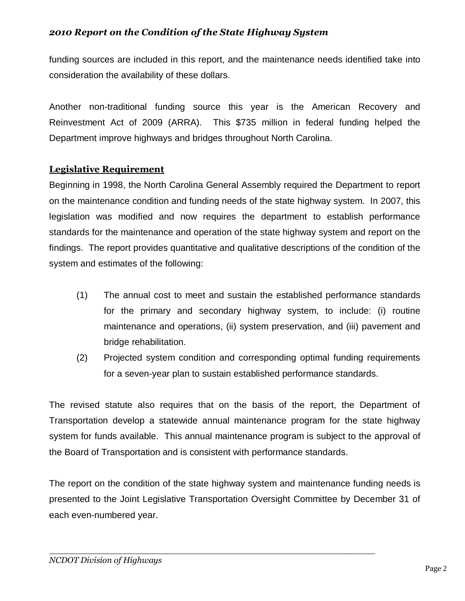funding sources are included in this report, and the maintenance needs identified take into consideration the availability of these dollars.

Another non-traditional funding source this year is the American Recovery and Reinvestment Act of 2009 (ARRA). This \$735 million in federal funding helped the Department improve highways and bridges throughout North Carolina.

## **Legislative Requirement**

Beginning in 1998, the North Carolina General Assembly required the Department to report on the maintenance condition and funding needs of the state highway system. In 2007, this legislation was modified and now requires the department to establish performance standards for the maintenance and operation of the state highway system and report on the findings. The report provides quantitative and qualitative descriptions of the condition of the system and estimates of the following:

- (1) The annual cost to meet and sustain the established performance standards for the primary and secondary highway system, to include: (i) routine maintenance and operations, (ii) system preservation, and (iii) pavement and bridge rehabilitation.
- (2) Projected system condition and corresponding optimal funding requirements for a seven-year plan to sustain established performance standards.

The revised statute also requires that on the basis of the report, the Department of Transportation develop a statewide annual maintenance program for the state highway system for funds available. This annual maintenance program is subject to the approval of the Board of Transportation and is consistent with performance standards.

The report on the condition of the state highway system and maintenance funding needs is presented to the Joint Legislative Transportation Oversight Committee by December 31 of each even-numbered year.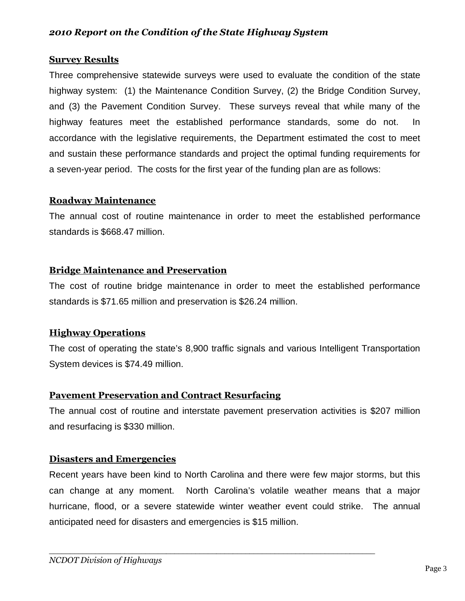#### **Survey Results**

Three comprehensive statewide surveys were used to evaluate the condition of the state highway system: (1) the Maintenance Condition Survey, (2) the Bridge Condition Survey, and (3) the Pavement Condition Survey. These surveys reveal that while many of the highway features meet the established performance standards, some do not. In accordance with the legislative requirements, the Department estimated the cost to meet and sustain these performance standards and project the optimal funding requirements for a seven-year period. The costs for the first year of the funding plan are as follows:

#### **Roadway Maintenance**

The annual cost of routine maintenance in order to meet the established performance standards is \$668.47 million.

#### **Bridge Maintenance and Preservation**

The cost of routine bridge maintenance in order to meet the established performance standards is \$71.65 million and preservation is \$26.24 million.

#### **Highway Operations**

The cost of operating the state's 8,900 traffic signals and various Intelligent Transportation System devices is \$74.49 million.

#### **Pavement Preservation and Contract Resurfacing**

The annual cost of routine and interstate pavement preservation activities is \$207 million and resurfacing is \$330 million.

#### **Disasters and Emergencies**

Recent years have been kind to North Carolina and there were few major storms, but this can change at any moment. North Carolina's volatile weather means that a major hurricane, flood, or a severe statewide winter weather event could strike. The annual anticipated need for disasters and emergencies is \$15 million.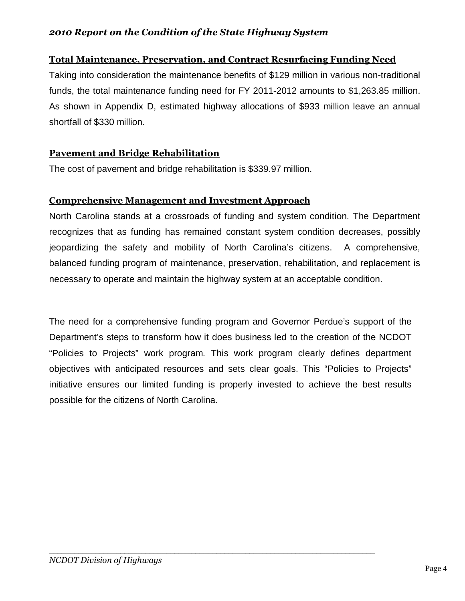## **Total Maintenance, Preservation, and Contract Resurfacing Funding Need**

Taking into consideration the maintenance benefits of \$129 million in various non-traditional funds, the total maintenance funding need for FY 2011-2012 amounts to \$1,263.85 million. As shown in Appendix D, estimated highway allocations of \$933 million leave an annual shortfall of \$330 million.

## **Pavement and Bridge Rehabilitation**

The cost of pavement and bridge rehabilitation is \$339.97 million.

## **Comprehensive Management and Investment Approach**

North Carolina stands at a crossroads of funding and system condition. The Department recognizes that as funding has remained constant system condition decreases, possibly jeopardizing the safety and mobility of North Carolina's citizens. A comprehensive, balanced funding program of maintenance, preservation, rehabilitation, and replacement is necessary to operate and maintain the highway system at an acceptable condition.

The need for a comprehensive funding program and Governor Perdue's support of the Department's steps to transform how it does business led to the creation of the NCDOT "Policies to Projects" work program. This work program clearly defines department objectives with anticipated resources and sets clear goals. This "Policies to Projects" initiative ensures our limited funding is properly invested to achieve the best results possible for the citizens of North Carolina.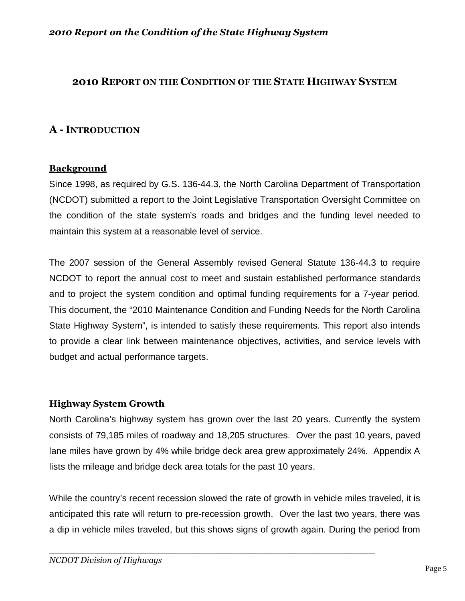### **2010 REPORT ON THE CONDITION OF THE STATE HIGHWAY SYSTEM**

## **A - INTRODUCTION**

#### **Background**

Since 1998, as required by G.S. 136-44.3, the North Carolina Department of Transportation (NCDOT) submitted a report to the Joint Legislative Transportation Oversight Committee on the condition of the state system's roads and bridges and the funding level needed to maintain this system at a reasonable level of service.

The 2007 session of the General Assembly revised General Statute 136-44.3 to require NCDOT to report the annual cost to meet and sustain established performance standards and to project the system condition and optimal funding requirements for a 7-year period. This document, the "2010 Maintenance Condition and Funding Needs for the North Carolina State Highway System", is intended to satisfy these requirements. This report also intends to provide a clear link between maintenance objectives, activities, and service levels with budget and actual performance targets.

#### **Highway System Growth**

North Carolina's highway system has grown over the last 20 years. Currently the system consists of 79,185 miles of roadway and 18,205 structures. Over the past 10 years, paved lane miles have grown by 4% while bridge deck area grew approximately 24%. Appendix A lists the mileage and bridge deck area totals for the past 10 years.

While the country's recent recession slowed the rate of growth in vehicle miles traveled, it is anticipated this rate will return to pre-recession growth. Over the last two years, there was a dip in vehicle miles traveled, but this shows signs of growth again. During the period from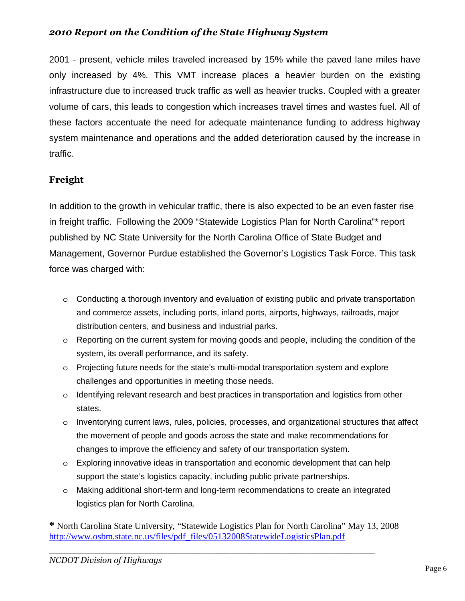2001 - present, vehicle miles traveled increased by 15% while the paved lane miles have only increased by 4%. This VMT increase places a heavier burden on the existing infrastructure due to increased truck traffic as well as heavier trucks. Coupled with a greater volume of cars, this leads to congestion which increases travel times and wastes fuel. All of these factors accentuate the need for adequate maintenance funding to address highway system maintenance and operations and the added deterioration caused by the increase in traffic.

## **Freight**

In addition to the growth in vehicular traffic, there is also expected to be an even faster rise in freight traffic. Following the 2009 "Statewide Logistics Plan for North Carolina"\* report published by NC State University for the North Carolina Office of State Budget and Management, Governor Purdue established the Governor's Logistics Task Force. This task force was charged with:

- o Conducting a thorough inventory and evaluation of existing public and private transportation and commerce assets, including ports, inland ports, airports, highways, railroads, major distribution centers, and business and industrial parks.
- $\circ$  Reporting on the current system for moving goods and people, including the condition of the system, its overall performance, and its safety.
- o Projecting future needs for the state's multi-modal transportation system and explore challenges and opportunities in meeting those needs.
- o Identifying relevant research and best practices in transportation and logistics from other states.
- o Inventorying current laws, rules, policies, processes, and organizational structures that affect the movement of people and goods across the state and make recommendations for changes to improve the efficiency and safety of our transportation system.
- o Exploring innovative ideas in transportation and economic development that can help support the state's logistics capacity, including public private partnerships.
- o Making additional short-term and long-term recommendations to create an integrated logistics plan for North Carolina.

**\*** North Carolina State University, "Statewide Logistics Plan for North Carolina" May 13, 2008 [http://www.osbm.state.nc.us/files/pdf\\_files/05132008StatewideLogisticsPlan.pdf](http://www.osbm.state.nc.us/files/pdf_files/05132008StatewideLogisticsPlan.pdf)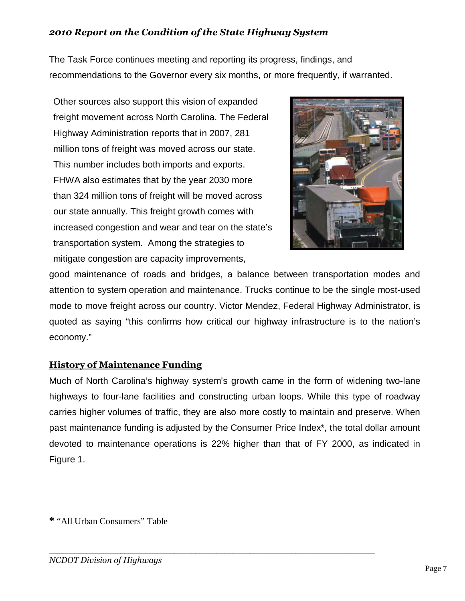The Task Force continues meeting and reporting its progress, findings, and recommendations to the Governor every six months, or more frequently, if warranted.

Other sources also support this vision of expanded freight movement across North Carolina. The Federal Highway Administration reports that in 2007, 281 million tons of freight was moved across our state. This number includes both imports and exports. FHWA also estimates that by the year 2030 more than 324 million tons of freight will be moved across our state annually. This freight growth comes with increased congestion and wear and tear on the state's transportation system. Among the strategies to mitigate congestion are capacity improvements,



good maintenance of roads and bridges, a balance between transportation modes and attention to system operation and maintenance. Trucks continue to be the single most-used mode to move freight across our country. Victor Mendez, Federal Highway Administrator, is quoted as saying "this confirms how critical our highway infrastructure is to the nation's economy."

## **History of Maintenance Funding**

Much of North Carolina's highway system's growth came in the form of widening two-lane highways to four-lane facilities and constructing urban loops. While this type of roadway carries higher volumes of traffic, they are also more costly to maintain and preserve. When past maintenance funding is adjusted by the Consumer Price Index\*, the total dollar amount devoted to maintenance operations is 22% higher than that of FY 2000, as indicated in Figure 1.

**\*** "All Urban Consumers" Table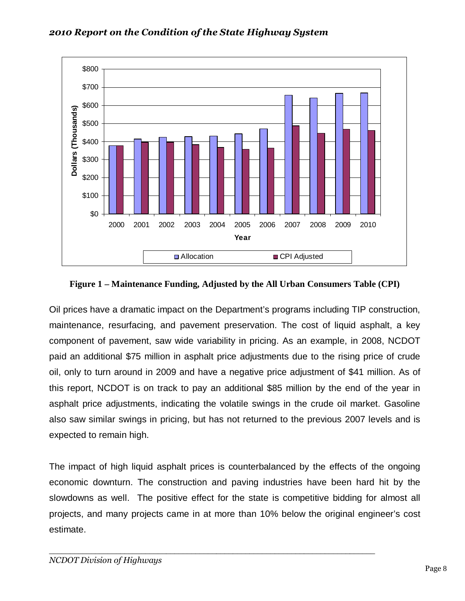

**Figure 1 – Maintenance Funding, Adjusted by the All Urban Consumers Table (CPI)** 

Oil prices have a dramatic impact on the Department's programs including TIP construction, maintenance, resurfacing, and pavement preservation. The cost of liquid asphalt, a key component of pavement, saw wide variability in pricing. As an example, in 2008, NCDOT paid an additional \$75 million in asphalt price adjustments due to the rising price of crude oil, only to turn around in 2009 and have a negative price adjustment of \$41 million. As of this report, NCDOT is on track to pay an additional \$85 million by the end of the year in asphalt price adjustments, indicating the volatile swings in the crude oil market. Gasoline also saw similar swings in pricing, but has not returned to the previous 2007 levels and is expected to remain high.

The impact of high liquid asphalt prices is counterbalanced by the effects of the ongoing economic downturn. The construction and paving industries have been hard hit by the slowdowns as well. The positive effect for the state is competitive bidding for almost all projects, and many projects came in at more than 10% below the original engineer's cost estimate.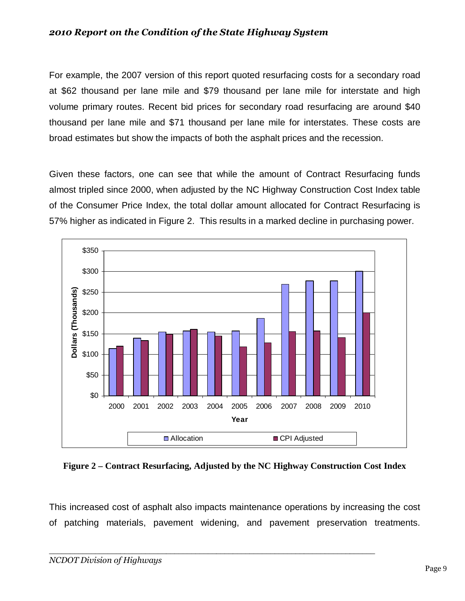For example, the 2007 version of this report quoted resurfacing costs for a secondary road at \$62 thousand per lane mile and \$79 thousand per lane mile for interstate and high volume primary routes. Recent bid prices for secondary road resurfacing are around \$40 thousand per lane mile and \$71 thousand per lane mile for interstates. These costs are broad estimates but show the impacts of both the asphalt prices and the recession.

Given these factors, one can see that while the amount of Contract Resurfacing funds almost tripled since 2000, when adjusted by the NC Highway Construction Cost Index table of the Consumer Price Index, the total dollar amount allocated for Contract Resurfacing is 57% higher as indicated in Figure 2. This results in a marked decline in purchasing power.



**Figure 2 – Contract Resurfacing, Adjusted by the NC Highway Construction Cost Index** 

This increased cost of asphalt also impacts maintenance operations by increasing the cost of patching materials, pavement widening, and pavement preservation treatments.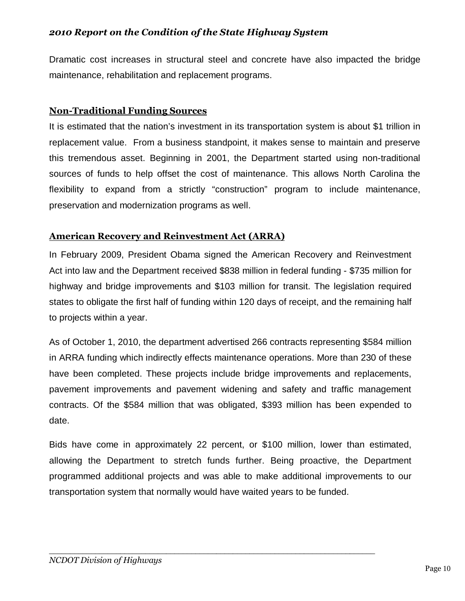Dramatic cost increases in structural steel and concrete have also impacted the bridge maintenance, rehabilitation and replacement programs.

## **Non-Traditional Funding Sources**

It is estimated that the nation's investment in its transportation system is about \$1 trillion in replacement value. From a business standpoint, it makes sense to maintain and preserve this tremendous asset. Beginning in 2001, the Department started using non-traditional sources of funds to help offset the cost of maintenance. This allows North Carolina the flexibility to expand from a strictly "construction" program to include maintenance, preservation and modernization programs as well.

## **American Recovery and Reinvestment Act (ARRA)**

In February 2009, President Obama signed the American Recovery and Reinvestment Act into law and the Department received \$838 million in federal funding - \$735 million for highway and bridge improvements and \$103 million for transit. The legislation required states to obligate the first half of funding within 120 days of receipt, and the remaining half to projects within a year.

As of October 1, 2010, the department advertised 266 contracts representing \$584 million in ARRA funding which indirectly effects maintenance operations. More than 230 of these have been completed. These projects include bridge improvements and replacements, pavement improvements and pavement widening and safety and traffic management contracts. Of the \$584 million that was obligated, \$393 million has been expended to date.

Bids have come in approximately 22 percent, or \$100 million, lower than estimated, allowing the Department to stretch funds further. Being proactive, the Department programmed additional projects and was able to make additional improvements to our transportation system that normally would have waited years to be funded.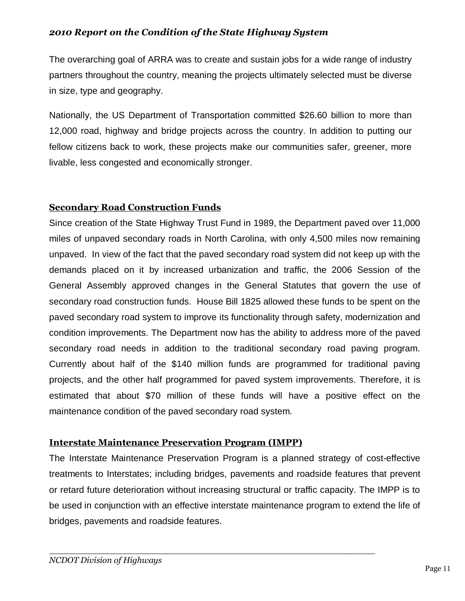The overarching goal of ARRA was to create and sustain jobs for a wide range of industry partners throughout the country, meaning the projects ultimately selected must be diverse in size, type and geography.

Nationally, the US Department of Transportation committed \$26.60 billion to more than 12,000 road, highway and bridge projects across the country. In addition to putting our fellow citizens back to work, these projects make our communities safer, greener, more livable, less congested and economically stronger.

## **Secondary Road Construction Funds**

Since creation of the State Highway Trust Fund in 1989, the Department paved over 11,000 miles of unpaved secondary roads in North Carolina, with only 4,500 miles now remaining unpaved. In view of the fact that the paved secondary road system did not keep up with the demands placed on it by increased urbanization and traffic, the 2006 Session of the General Assembly approved changes in the General Statutes that govern the use of secondary road construction funds. House Bill 1825 allowed these funds to be spent on the paved secondary road system to improve its functionality through safety, modernization and condition improvements. The Department now has the ability to address more of the paved secondary road needs in addition to the traditional secondary road paving program. Currently about half of the \$140 million funds are programmed for traditional paving projects, and the other half programmed for paved system improvements. Therefore, it is estimated that about \$70 million of these funds will have a positive effect on the maintenance condition of the paved secondary road system.

## **Interstate Maintenance Preservation Program (IMPP)**

The Interstate Maintenance Preservation Program is a planned strategy of cost-effective treatments to Interstates; including bridges, pavements and roadside features that prevent or retard future deterioration without increasing structural or traffic capacity. The IMPP is to be used in conjunction with an effective interstate maintenance program to extend the life of bridges, pavements and roadside features.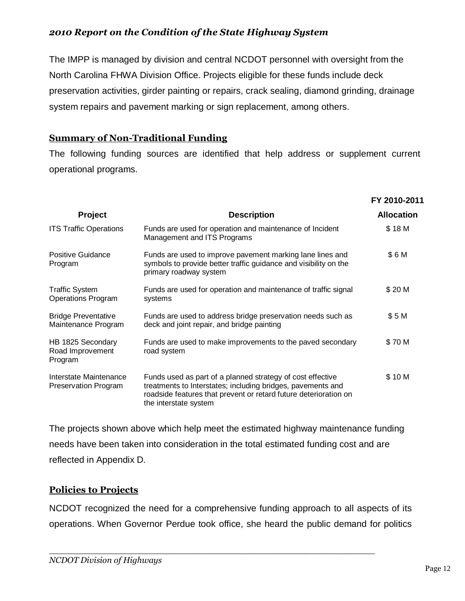The IMPP is managed by division and central NCDOT personnel with oversight from the North Carolina FHWA Division Office. Projects eligible for these funds include deck preservation activities, girder painting or repairs, crack sealing, diamond grinding, drainage system repairs and pavement marking or sign replacement, among others.

## **Summary of Non-Traditional Funding**

The following funding sources are identified that help address or supplement current operational programs.

|                                                    |                                                                                                                                                                                                                        | FY 2010-2011      |
|----------------------------------------------------|------------------------------------------------------------------------------------------------------------------------------------------------------------------------------------------------------------------------|-------------------|
| <b>Project</b>                                     | <b>Description</b>                                                                                                                                                                                                     | <b>Allocation</b> |
| <b>ITS Traffic Operations</b>                      | Funds are used for operation and maintenance of Incident<br>Management and ITS Programs                                                                                                                                | \$18 M            |
| <b>Positive Guidance</b><br>Program                | Funds are used to improve pavement marking lane lines and<br>symbols to provide better traffic guidance and visibility on the<br>primary roadway system                                                                | \$6M              |
| <b>Traffic System</b><br><b>Operations Program</b> | Funds are used for operation and maintenance of traffic signal<br>systems                                                                                                                                              | \$20 M            |
| <b>Bridge Preventative</b><br>Maintenance Program  | Funds are used to address bridge preservation needs such as<br>deck and joint repair, and bridge painting                                                                                                              | \$5M              |
| HB 1825 Secondary<br>Road Improvement<br>Program   | Funds are used to make improvements to the paved secondary<br>road system                                                                                                                                              | \$70 M            |
| Interstate Maintenance<br>Preservation Program     | Funds used as part of a planned strategy of cost effective<br>treatments to Interstates; including bridges, pavements and<br>roadside features that prevent or retard future deterioration on<br>the interstate system | \$10 M            |

The projects shown above which help meet the estimated highway maintenance funding needs have been taken into consideration in the total estimated funding cost and are reflected in Appendix D.

## **Policies to Projects**

NCDOT recognized the need for a comprehensive funding approach to all aspects of its operations. When Governor Perdue took office, she heard the public demand for politics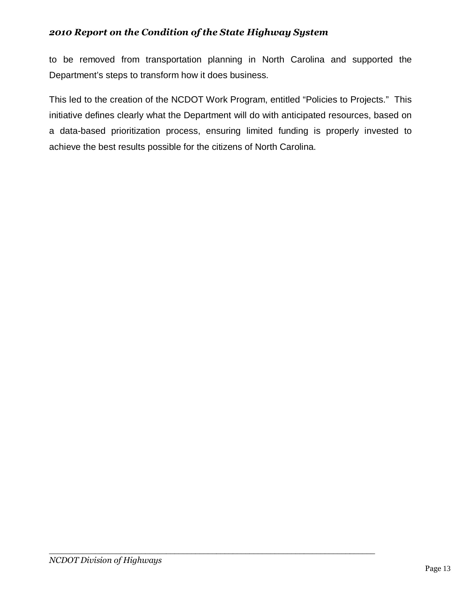to be removed from transportation planning in North Carolina and supported the Department's steps to transform how it does business.

This led to the creation of the NCDOT Work Program, entitled "Policies to Projects." This initiative defines clearly what the Department will do with anticipated resources, based on a data-based prioritization process, ensuring limited funding is properly invested to achieve the best results possible for the citizens of North Carolina.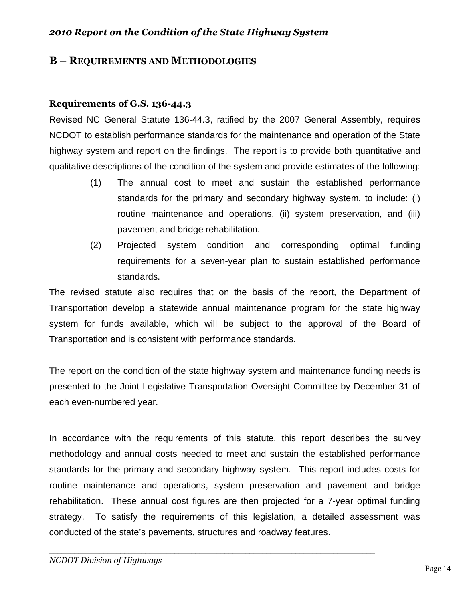#### **B – REQUIREMENTS AND METHODOLOGIES**

#### **Requirements of G.S. 136-44.3**

Revised NC General Statute 136-44.3, ratified by the 2007 General Assembly, requires NCDOT to establish performance standards for the maintenance and operation of the State highway system and report on the findings. The report is to provide both quantitative and qualitative descriptions of the condition of the system and provide estimates of the following:

- (1) The annual cost to meet and sustain the established performance standards for the primary and secondary highway system, to include: (i) routine maintenance and operations, (ii) system preservation, and (iii) pavement and bridge rehabilitation.
- (2) Projected system condition and corresponding optimal funding requirements for a seven-year plan to sustain established performance standards.

The revised statute also requires that on the basis of the report, the Department of Transportation develop a statewide annual maintenance program for the state highway system for funds available, which will be subject to the approval of the Board of Transportation and is consistent with performance standards.

The report on the condition of the state highway system and maintenance funding needs is presented to the Joint Legislative Transportation Oversight Committee by December 31 of each even-numbered year.

In accordance with the requirements of this statute, this report describes the survey methodology and annual costs needed to meet and sustain the established performance standards for the primary and secondary highway system. This report includes costs for routine maintenance and operations, system preservation and pavement and bridge rehabilitation. These annual cost figures are then projected for a 7-year optimal funding strategy. To satisfy the requirements of this legislation, a detailed assessment was conducted of the state's pavements, structures and roadway features.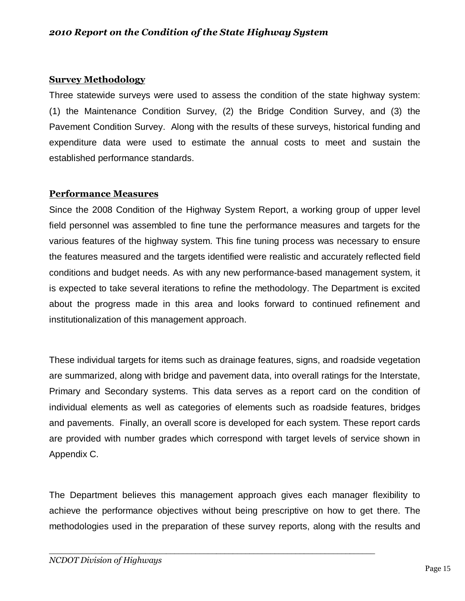#### **Survey Methodology**

Three statewide surveys were used to assess the condition of the state highway system: (1) the Maintenance Condition Survey, (2) the Bridge Condition Survey, and (3) the Pavement Condition Survey. Along with the results of these surveys, historical funding and expenditure data were used to estimate the annual costs to meet and sustain the established performance standards.

#### **Performance Measures**

Since the 2008 Condition of the Highway System Report, a working group of upper level field personnel was assembled to fine tune the performance measures and targets for the various features of the highway system. This fine tuning process was necessary to ensure the features measured and the targets identified were realistic and accurately reflected field conditions and budget needs. As with any new performance-based management system, it is expected to take several iterations to refine the methodology. The Department is excited about the progress made in this area and looks forward to continued refinement and institutionalization of this management approach.

These individual targets for items such as drainage features, signs, and roadside vegetation are summarized, along with bridge and pavement data, into overall ratings for the Interstate, Primary and Secondary systems. This data serves as a report card on the condition of individual elements as well as categories of elements such as roadside features, bridges and pavements. Finally, an overall score is developed for each system. These report cards are provided with number grades which correspond with target levels of service shown in Appendix C.

The Department believes this management approach gives each manager flexibility to achieve the performance objectives without being prescriptive on how to get there. The methodologies used in the preparation of these survey reports, along with the results and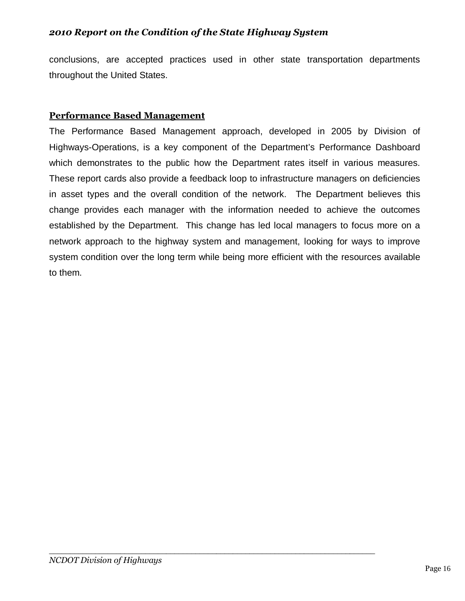conclusions, are accepted practices used in other state transportation departments throughout the United States.

#### **Performance Based Management**

The Performance Based Management approach, developed in 2005 by Division of Highways-Operations, is a key component of the Department's Performance Dashboard which demonstrates to the public how the Department rates itself in various measures. These report cards also provide a feedback loop to infrastructure managers on deficiencies in asset types and the overall condition of the network. The Department believes this change provides each manager with the information needed to achieve the outcomes established by the Department. This change has led local managers to focus more on a network approach to the highway system and management, looking for ways to improve system condition over the long term while being more efficient with the resources available to them.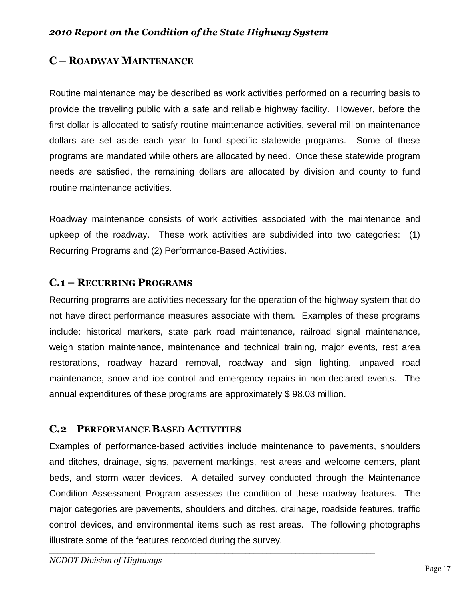## **C – ROADWAY MAINTENANCE**

Routine maintenance may be described as work activities performed on a recurring basis to provide the traveling public with a safe and reliable highway facility. However, before the first dollar is allocated to satisfy routine maintenance activities, several million maintenance dollars are set aside each year to fund specific statewide programs. Some of these programs are mandated while others are allocated by need. Once these statewide program needs are satisfied, the remaining dollars are allocated by division and county to fund routine maintenance activities.

Roadway maintenance consists of work activities associated with the maintenance and upkeep of the roadway. These work activities are subdivided into two categories: (1) Recurring Programs and (2) Performance-Based Activities.

## **C.1 – RECURRING PROGRAMS**

Recurring programs are activities necessary for the operation of the highway system that do not have direct performance measures associate with them. Examples of these programs include: historical markers, state park road maintenance, railroad signal maintenance, weigh station maintenance, maintenance and technical training, major events, rest area restorations, roadway hazard removal, roadway and sign lighting, unpaved road maintenance, snow and ice control and emergency repairs in non-declared events. The annual expenditures of these programs are approximately \$ 98.03 million.

## **C.2 PERFORMANCE BASED ACTIVITIES**

Examples of performance-based activities include maintenance to pavements, shoulders and ditches, drainage, signs, pavement markings, rest areas and welcome centers, plant beds, and storm water devices. A detailed survey conducted through the Maintenance Condition Assessment Program assesses the condition of these roadway features. The major categories are pavements, shoulders and ditches, drainage, roadside features, traffic control devices, and environmental items such as rest areas. The following photographs illustrate some of the features recorded during the survey.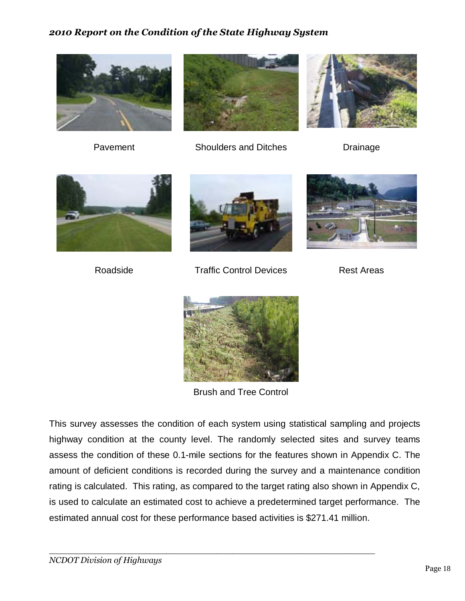



Pavement Shoulders and Ditches Drainage







Roadside **Traffic Control Devices** Rest Areas





Brush and Tree Control

This survey assesses the condition of each system using statistical sampling and projects highway condition at the county level. The randomly selected sites and survey teams assess the condition of these 0.1-mile sections for the features shown in Appendix C. The amount of deficient conditions is recorded during the survey and a maintenance condition rating is calculated. This rating, as compared to the target rating also shown in Appendix C, is used to calculate an estimated cost to achieve a predetermined target performance. The estimated annual cost for these performance based activities is \$271.41 million.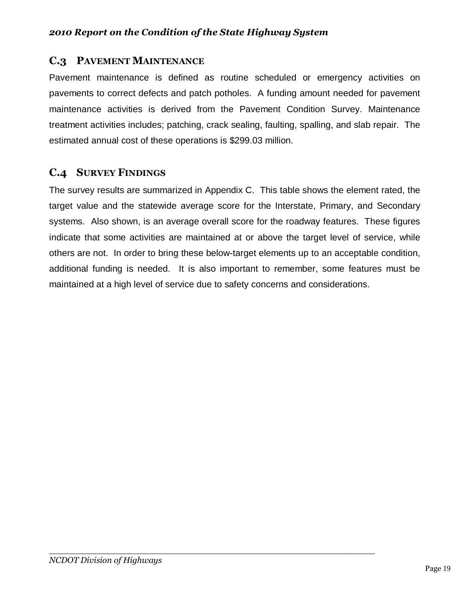## **C.3 PAVEMENT MAINTENANCE**

Pavement maintenance is defined as routine scheduled or emergency activities on pavements to correct defects and patch potholes. A funding amount needed for pavement maintenance activities is derived from the Pavement Condition Survey. Maintenance treatment activities includes; patching, crack sealing, faulting, spalling, and slab repair. The estimated annual cost of these operations is \$299.03 million.

## **C.4 SURVEY FINDINGS**

The survey results are summarized in Appendix C. This table shows the element rated, the target value and the statewide average score for the Interstate, Primary, and Secondary systems. Also shown, is an average overall score for the roadway features. These figures indicate that some activities are maintained at or above the target level of service, while others are not. In order to bring these below-target elements up to an acceptable condition, additional funding is needed. It is also important to remember, some features must be maintained at a high level of service due to safety concerns and considerations.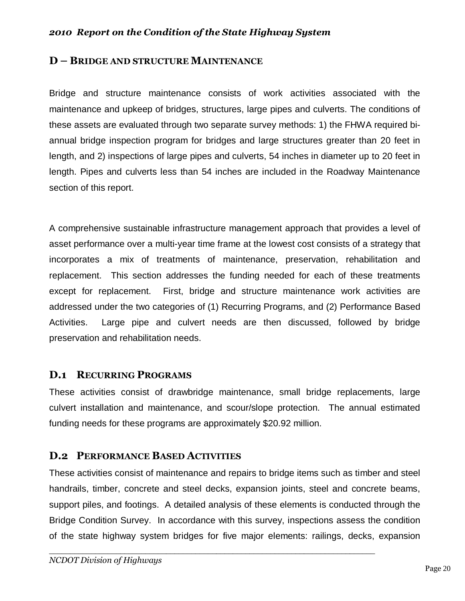#### **D – BRIDGE AND STRUCTURE MAINTENANCE**

Bridge and structure maintenance consists of work activities associated with the maintenance and upkeep of bridges, structures, large pipes and culverts. The conditions of these assets are evaluated through two separate survey methods: 1) the FHWA required biannual bridge inspection program for bridges and large structures greater than 20 feet in length, and 2) inspections of large pipes and culverts, 54 inches in diameter up to 20 feet in length. Pipes and culverts less than 54 inches are included in the Roadway Maintenance section of this report.

A comprehensive sustainable infrastructure management approach that provides a level of asset performance over a multi-year time frame at the lowest cost consists of a strategy that incorporates a mix of treatments of maintenance, preservation, rehabilitation and replacement. This section addresses the funding needed for each of these treatments except for replacement. First, bridge and structure maintenance work activities are addressed under the two categories of (1) Recurring Programs, and (2) Performance Based Activities. Large pipe and culvert needs are then discussed, followed by bridge preservation and rehabilitation needs.

#### **D.1 RECURRING PROGRAMS**

These activities consist of drawbridge maintenance, small bridge replacements, large culvert installation and maintenance, and scour/slope protection. The annual estimated funding needs for these programs are approximately \$20.92 million.

#### **D.2 PERFORMANCE BASED ACTIVITIES**

These activities consist of maintenance and repairs to bridge items such as timber and steel handrails, timber, concrete and steel decks, expansion joints, steel and concrete beams, support piles, and footings. A detailed analysis of these elements is conducted through the Bridge Condition Survey. In accordance with this survey, inspections assess the condition of the state highway system bridges for five major elements: railings, decks, expansion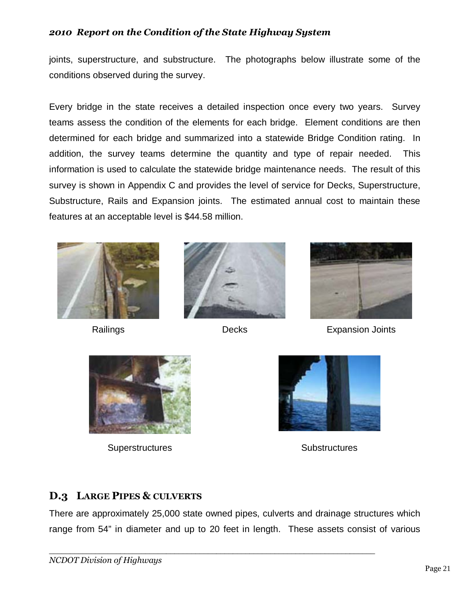joints, superstructure, and substructure. The photographs below illustrate some of the conditions observed during the survey.

Every bridge in the state receives a detailed inspection once every two years. Survey teams assess the condition of the elements for each bridge. Element conditions are then determined for each bridge and summarized into a statewide Bridge Condition rating. In addition, the survey teams determine the quantity and type of repair needed. This information is used to calculate the statewide bridge maintenance needs. The result of this survey is shown in Appendix C and provides the level of service for Decks, Superstructure, Substructure, Rails and Expansion joints. The estimated annual cost to maintain these features at an acceptable level is \$44.58 million.







Railings **Decks** Decks Expansion Joints



Superstructures Substructures Substructures



## **D.3 LARGE PIPES & CULVERTS**

There are approximately 25,000 state owned pipes, culverts and drainage structures which range from 54" in diameter and up to 20 feet in length. These assets consist of various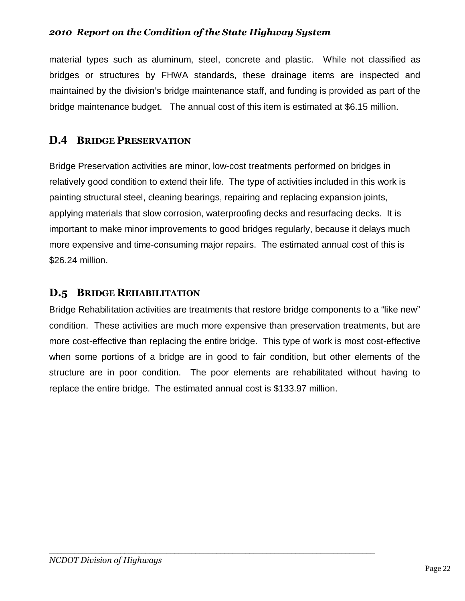material types such as aluminum, steel, concrete and plastic. While not classified as bridges or structures by FHWA standards, these drainage items are inspected and maintained by the division's bridge maintenance staff, and funding is provided as part of the bridge maintenance budget. The annual cost of this item is estimated at \$6.15 million.

## **D.4 BRIDGE PRESERVATION**

Bridge Preservation activities are minor, low-cost treatments performed on bridges in relatively good condition to extend their life. The type of activities included in this work is painting structural steel, cleaning bearings, repairing and replacing expansion joints, applying materials that slow corrosion, waterproofing decks and resurfacing decks. It is important to make minor improvements to good bridges regularly, because it delays much more expensive and time-consuming major repairs. The estimated annual cost of this is \$26.24 million.

## **D.5 BRIDGE REHABILITATION**

Bridge Rehabilitation activities are treatments that restore bridge components to a "like new" condition. These activities are much more expensive than preservation treatments, but are more cost-effective than replacing the entire bridge. This type of work is most cost-effective when some portions of a bridge are in good to fair condition, but other elements of the structure are in poor condition. The poor elements are rehabilitated without having to replace the entire bridge. The estimated annual cost is \$133.97 million.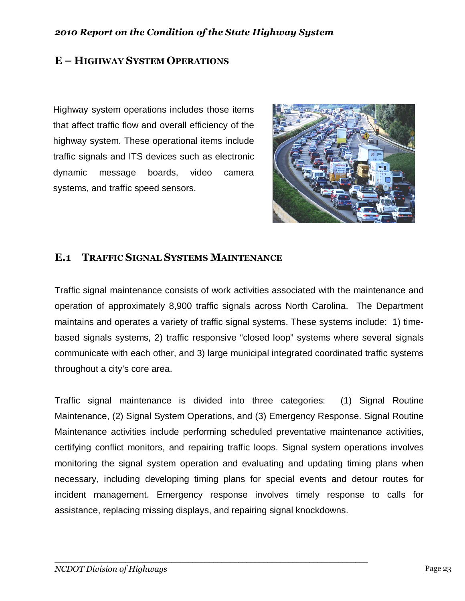## **E – HIGHWAY SYSTEM OPERATIONS**

Highway system operations includes those items that affect traffic flow and overall efficiency of the highway system. These operational items include traffic signals and ITS devices such as electronic dynamic message boards, video camera systems, and traffic speed sensors.



## **E.1 TRAFFIC SIGNAL SYSTEMS MAINTENANCE**

Traffic signal maintenance consists of work activities associated with the maintenance and operation of approximately 8,900 traffic signals across North Carolina. The Department maintains and operates a variety of traffic signal systems. These systems include: 1) timebased signals systems, 2) traffic responsive "closed loop" systems where several signals communicate with each other, and 3) large municipal integrated coordinated traffic systems throughout a city's core area.

Traffic signal maintenance is divided into three categories: (1) Signal Routine Maintenance, (2) Signal System Operations, and (3) Emergency Response. Signal Routine Maintenance activities include performing scheduled preventative maintenance activities, certifying conflict monitors, and repairing traffic loops. Signal system operations involves monitoring the signal system operation and evaluating and updating timing plans when necessary, including developing timing plans for special events and detour routes for incident management. Emergency response involves timely response to calls for assistance, replacing missing displays, and repairing signal knockdowns.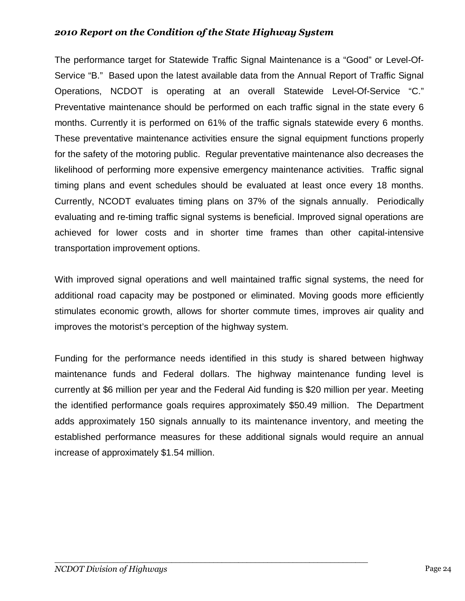The performance target for Statewide Traffic Signal Maintenance is a "Good" or Level-Of-Service "B." Based upon the latest available data from the Annual Report of Traffic Signal Operations, NCDOT is operating at an overall Statewide Level-Of-Service "C." Preventative maintenance should be performed on each traffic signal in the state every 6 months. Currently it is performed on 61% of the traffic signals statewide every 6 months. These preventative maintenance activities ensure the signal equipment functions properly for the safety of the motoring public. Regular preventative maintenance also decreases the likelihood of performing more expensive emergency maintenance activities. Traffic signal timing plans and event schedules should be evaluated at least once every 18 months. Currently, NCODT evaluates timing plans on 37% of the signals annually. Periodically evaluating and re-timing traffic signal systems is beneficial. Improved signal operations are achieved for lower costs and in shorter time frames than other capital-intensive transportation improvement options.

With improved signal operations and well maintained traffic signal systems, the need for additional road capacity may be postponed or eliminated. Moving goods more efficiently stimulates economic growth, allows for shorter commute times, improves air quality and improves the motorist's perception of the highway system.

Funding for the performance needs identified in this study is shared between highway maintenance funds and Federal dollars. The highway maintenance funding level is currently at \$6 million per year and the Federal Aid funding is \$20 million per year. Meeting the identified performance goals requires approximately \$50.49 million. The Department adds approximately 150 signals annually to its maintenance inventory, and meeting the established performance measures for these additional signals would require an annual increase of approximately \$1.54 million.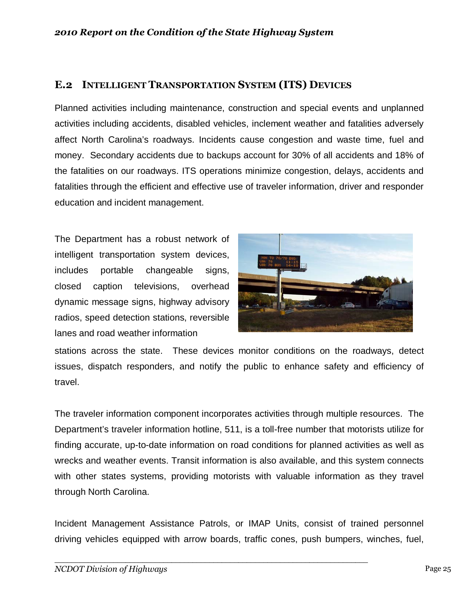## **E.2 INTELLIGENT TRANSPORTATION SYSTEM (ITS) DEVICES**

Planned activities including maintenance, construction and special events and unplanned activities including accidents, disabled vehicles, inclement weather and fatalities adversely affect North Carolina's roadways. Incidents cause congestion and waste time, fuel and money. Secondary accidents due to backups account for 30% of all accidents and 18% of the fatalities on our roadways. ITS operations minimize congestion, delays, accidents and fatalities through the efficient and effective use of traveler information, driver and responder education and incident management.

The Department has a robust network of intelligent transportation system devices, includes portable changeable signs, closed caption televisions, overhead dynamic message signs, highway advisory radios, speed detection stations, reversible lanes and road weather information



stations across the state. These devices monitor conditions on the roadways, detect issues, dispatch responders, and notify the public to enhance safety and efficiency of travel.

The traveler information component incorporates activities through multiple resources. The Department's traveler information hotline, 511, is a toll-free number that motorists utilize for finding accurate, up-to-date information on road conditions for planned activities as well as wrecks and weather events. Transit information is also available, and this system connects with other states systems, providing motorists with valuable information as they travel through North Carolina.

Incident Management Assistance Patrols, or IMAP Units, consist of trained personnel driving vehicles equipped with arrow boards, traffic cones, push bumpers, winches, fuel,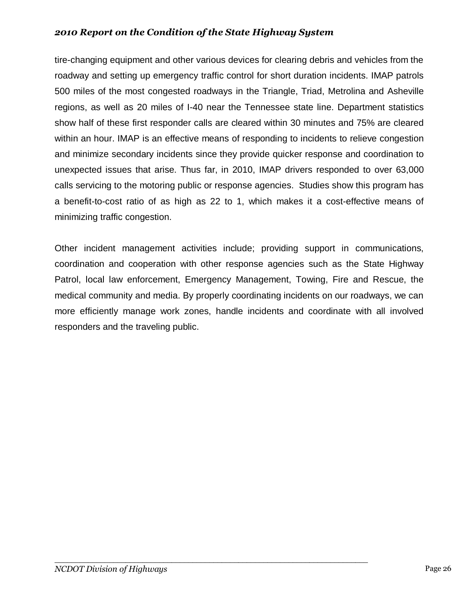tire-changing equipment and other various devices for clearing debris and vehicles from the roadway and setting up emergency traffic control for short duration incidents. IMAP patrols 500 miles of the most congested roadways in the Triangle, Triad, Metrolina and Asheville regions, as well as 20 miles of I-40 near the Tennessee state line. Department statistics show half of these first responder calls are cleared within 30 minutes and 75% are cleared within an hour. IMAP is an effective means of responding to incidents to relieve congestion and minimize secondary incidents since they provide quicker response and coordination to unexpected issues that arise. Thus far, in 2010, IMAP drivers responded to over 63,000 calls servicing to the motoring public or response agencies. Studies show this program has a benefit-to-cost ratio of as high as 22 to 1, which makes it a cost-effective means of minimizing traffic congestion.

Other incident management activities include; providing support in communications, coordination and cooperation with other response agencies such as the State Highway Patrol, local law enforcement, Emergency Management, Towing, Fire and Rescue, the medical community and media. By properly coordinating incidents on our roadways, we can more efficiently manage work zones, handle incidents and coordinate with all involved responders and the traveling public.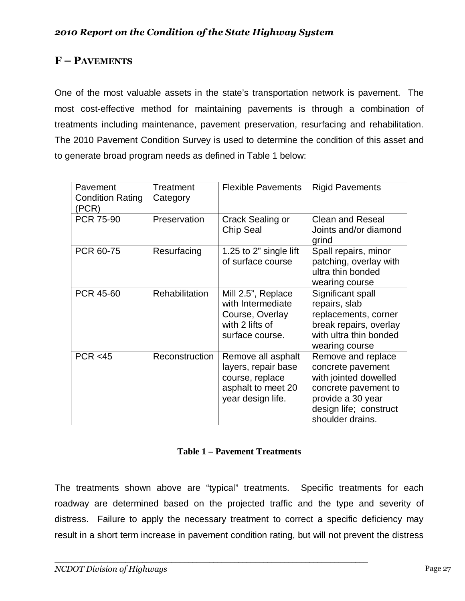## **F – PAVEMENTS**

One of the most valuable assets in the state's transportation network is pavement. The most cost-effective method for maintaining pavements is through a combination of treatments including maintenance, pavement preservation, resurfacing and rehabilitation. The 2010 Pavement Condition Survey is used to determine the condition of this asset and to generate broad program needs as defined in Table 1 below:

| Pavement<br><b>Condition Rating</b><br>(PCR) | Treatment<br>Category | <b>Flexible Pavements</b>                                                                               | <b>Rigid Pavements</b>                                                                                                                                      |
|----------------------------------------------|-----------------------|---------------------------------------------------------------------------------------------------------|-------------------------------------------------------------------------------------------------------------------------------------------------------------|
| PCR 75-90                                    | Preservation          | Crack Sealing or<br>Chip Seal                                                                           | <b>Clean and Reseal</b><br>Joints and/or diamond<br>grind                                                                                                   |
| PCR 60-75                                    | Resurfacing           | 1.25 to 2" single lift<br>of surface course                                                             | Spall repairs, minor<br>patching, overlay with<br>ultra thin bonded<br>wearing course                                                                       |
| PCR 45-60                                    | Rehabilitation        | Mill 2.5", Replace<br>with Intermediate<br>Course, Overlay<br>with 2 lifts of<br>surface course.        | Significant spall<br>repairs, slab<br>replacements, corner<br>break repairs, overlay<br>with ultra thin bonded<br>wearing course                            |
| PCR < 45                                     | Reconstruction        | Remove all asphalt<br>layers, repair base<br>course, replace<br>asphalt to meet 20<br>year design life. | Remove and replace<br>concrete pavement<br>with jointed dowelled<br>concrete pavement to<br>provide a 30 year<br>design life; construct<br>shoulder drains. |

#### **Table 1 – Pavement Treatments**

The treatments shown above are "typical" treatments. Specific treatments for each roadway are determined based on the projected traffic and the type and severity of distress. Failure to apply the necessary treatment to correct a specific deficiency may result in a short term increase in pavement condition rating, but will not prevent the distress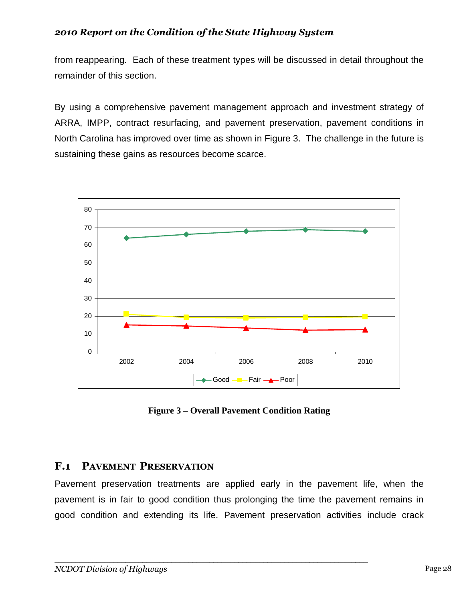from reappearing. Each of these treatment types will be discussed in detail throughout the remainder of this section.

By using a comprehensive pavement management approach and investment strategy of ARRA, IMPP, contract resurfacing, and pavement preservation, pavement conditions in North Carolina has improved over time as shown in Figure 3. The challenge in the future is sustaining these gains as resources become scarce.



**Figure 3 – Overall Pavement Condition Rating** 

## **F.1 PAVEMENT PRESERVATION**

Pavement preservation treatments are applied early in the pavement life, when the pavement is in fair to good condition thus prolonging the time the pavement remains in good condition and extending its life. Pavement preservation activities include crack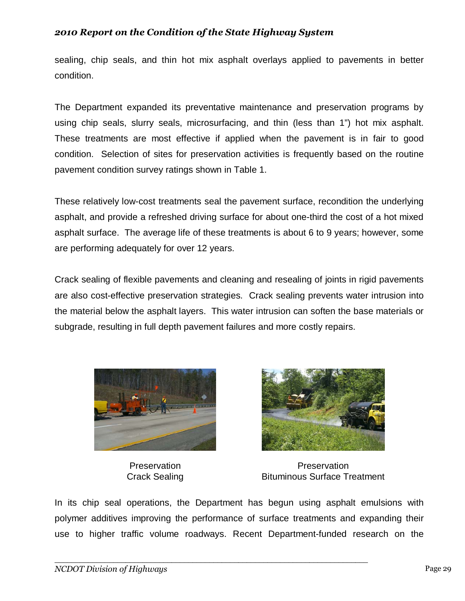sealing, chip seals, and thin hot mix asphalt overlays applied to pavements in better condition.

The Department expanded its preventative maintenance and preservation programs by using chip seals, slurry seals, microsurfacing, and thin (less than 1") hot mix asphalt. These treatments are most effective if applied when the pavement is in fair to good condition. Selection of sites for preservation activities is frequently based on the routine pavement condition survey ratings shown in Table 1.

These relatively low-cost treatments seal the pavement surface, recondition the underlying asphalt, and provide a refreshed driving surface for about one-third the cost of a hot mixed asphalt surface. The average life of these treatments is about 6 to 9 years; however, some are performing adequately for over 12 years.

Crack sealing of flexible pavements and cleaning and resealing of joints in rigid pavements are also cost-effective preservation strategies. Crack sealing prevents water intrusion into the material below the asphalt layers. This water intrusion can soften the base materials or subgrade, resulting in full depth pavement failures and more costly repairs.



**Preservation** Crack Sealing



**Preservation** Bituminous Surface Treatment

In its chip seal operations, the Department has begun using asphalt emulsions with polymer additives improving the performance of surface treatments and expanding their use to higher traffic volume roadways. Recent Department-funded research on the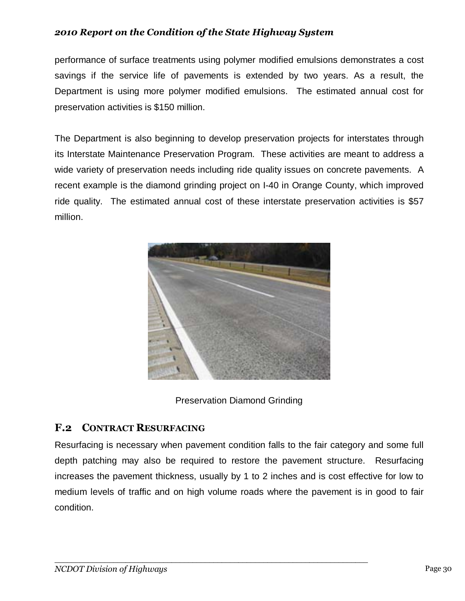performance of surface treatments using polymer modified emulsions demonstrates a cost savings if the service life of pavements is extended by two years. As a result, the Department is using more polymer modified emulsions. The estimated annual cost for preservation activities is \$150 million.

The Department is also beginning to develop preservation projects for interstates through its Interstate Maintenance Preservation Program. These activities are meant to address a wide variety of preservation needs including ride quality issues on concrete pavements. A recent example is the diamond grinding project on I-40 in Orange County, which improved ride quality. The estimated annual cost of these interstate preservation activities is \$57 million.



Preservation Diamond Grinding

## **F.2 CONTRACT RESURFACING**

Resurfacing is necessary when pavement condition falls to the fair category and some full depth patching may also be required to restore the pavement structure. Resurfacing increases the pavement thickness, usually by 1 to 2 inches and is cost effective for low to medium levels of traffic and on high volume roads where the pavement is in good to fair condition.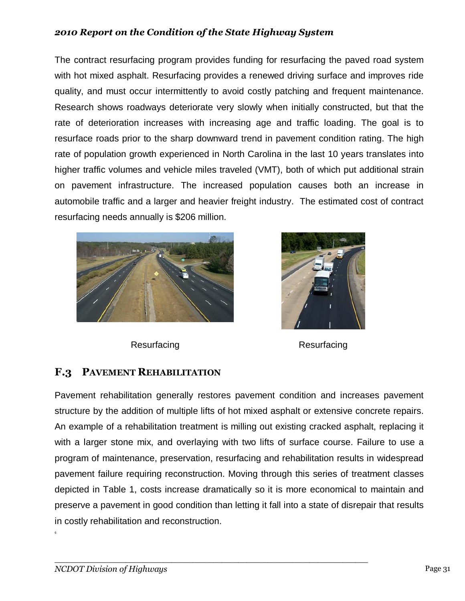The contract resurfacing program provides funding for resurfacing the paved road system with hot mixed asphalt. Resurfacing provides a renewed driving surface and improves ride quality, and must occur intermittently to avoid costly patching and frequent maintenance. Research shows roadways deteriorate very slowly when initially constructed, but that the rate of deterioration increases with increasing age and traffic loading. The goal is to resurface roads prior to the sharp downward trend in pavement condition rating. The high rate of population growth experienced in North Carolina in the last 10 years translates into higher traffic volumes and vehicle miles traveled (VMT), both of which put additional strain on pavement infrastructure. The increased population causes both an increase in automobile traffic and a larger and heavier freight industry. The estimated cost of contract resurfacing needs annually is \$206 million.





Resurfacing Resurfacing

## **F.3 PAVEMENT REHABILITATION**

Pavement rehabilitation generally restores pavement condition and increases pavement structure by the addition of multiple lifts of hot mixed asphalt or extensive concrete repairs. An example of a rehabilitation treatment is milling out existing cracked asphalt, replacing it with a larger stone mix, and overlaying with two lifts of surface course. Failure to use a program of maintenance, preservation, resurfacing and rehabilitation results in widespread pavement failure requiring reconstruction. Moving through this series of treatment classes depicted in Table 1, costs increase dramatically so it is more economical to maintain and preserve a pavement in good condition than letting it fall into a state of disrepair that results in costly rehabilitation and reconstruction.

*\_\_\_\_\_\_\_\_\_\_\_\_\_\_\_\_\_\_\_\_\_\_\_\_\_\_\_\_\_\_\_\_\_\_\_\_\_\_\_\_\_\_\_\_\_\_\_\_\_\_\_\_\_\_\_\_\_\_\_\_\_\_\_\_\_\_\_\_\_\_\_\_\_\_\_* 

6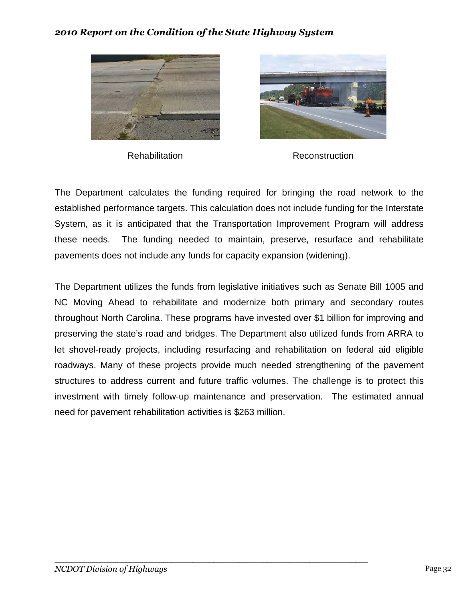



Rehabilitation **Reconstruction** 

The Department calculates the funding required for bringing the road network to the established performance targets. This calculation does not include funding for the Interstate System, as it is anticipated that the Transportation Improvement Program will address these needs. The funding needed to maintain, preserve, resurface and rehabilitate pavements does not include any funds for capacity expansion (widening).

The Department utilizes the funds from legislative initiatives such as Senate Bill 1005 and NC Moving Ahead to rehabilitate and modernize both primary and secondary routes throughout North Carolina. These programs have invested over \$1 billion for improving and preserving the state's road and bridges. The Department also utilized funds from ARRA to let shovel-ready projects, including resurfacing and rehabilitation on federal aid eligible roadways. Many of these projects provide much needed strengthening of the pavement structures to address current and future traffic volumes. The challenge is to protect this investment with timely follow-up maintenance and preservation. The estimated annual need for pavement rehabilitation activities is \$263 million.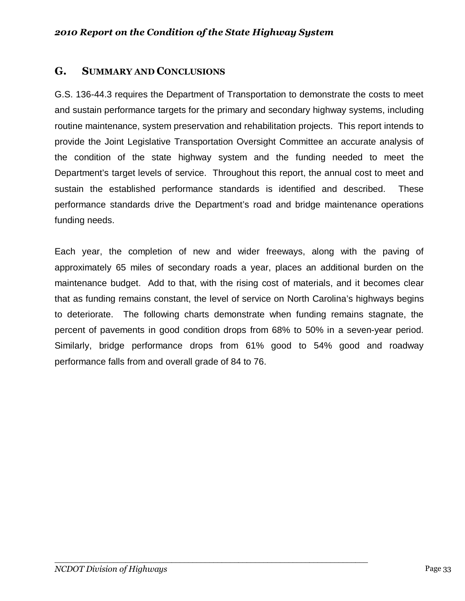## **G. SUMMARY AND CONCLUSIONS**

G.S. 136-44.3 requires the Department of Transportation to demonstrate the costs to meet and sustain performance targets for the primary and secondary highway systems, including routine maintenance, system preservation and rehabilitation projects. This report intends to provide the Joint Legislative Transportation Oversight Committee an accurate analysis of the condition of the state highway system and the funding needed to meet the Department's target levels of service. Throughout this report, the annual cost to meet and sustain the established performance standards is identified and described. These performance standards drive the Department's road and bridge maintenance operations funding needs.

Each year, the completion of new and wider freeways, along with the paving of approximately 65 miles of secondary roads a year, places an additional burden on the maintenance budget. Add to that, with the rising cost of materials, and it becomes clear that as funding remains constant, the level of service on North Carolina's highways begins to deteriorate. The following charts demonstrate when funding remains stagnate, the percent of pavements in good condition drops from 68% to 50% in a seven-year period. Similarly, bridge performance drops from 61% good to 54% good and roadway performance falls from and overall grade of 84 to 76.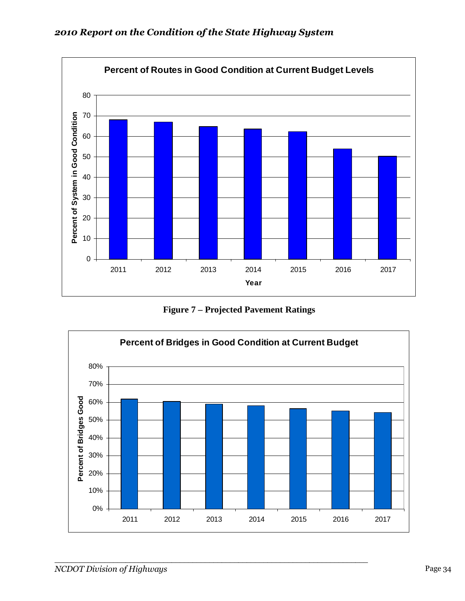

**Figure 7 – Projected Pavement Ratings** 

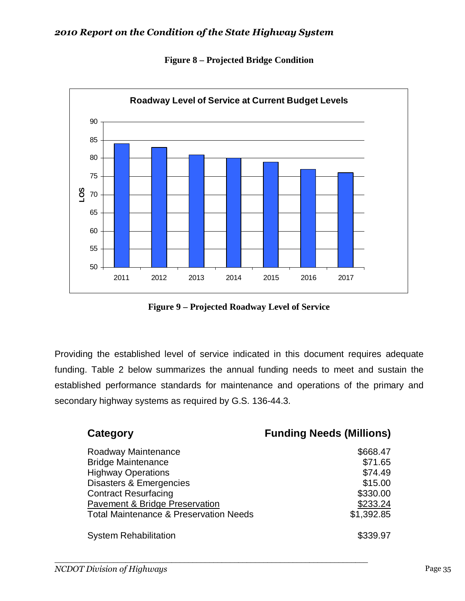

**Figure 8 – Projected Bridge Condition** 

**Figure 9 – Projected Roadway Level of Service** 

Providing the established level of service indicated in this document requires adequate funding. Table 2 below summarizes the annual funding needs to meet and sustain the established performance standards for maintenance and operations of the primary and secondary highway systems as required by G.S. 136-44.3.

| Category                                          | <b>Funding Needs (Millions)</b> |
|---------------------------------------------------|---------------------------------|
| Roadway Maintenance                               | \$668.47                        |
| <b>Bridge Maintenance</b>                         | \$71.65                         |
| <b>Highway Operations</b>                         | \$74.49                         |
| Disasters & Emergencies                           | \$15.00                         |
| <b>Contract Resurfacing</b>                       | \$330.00                        |
| <b>Pavement &amp; Bridge Preservation</b>         | \$233.24                        |
| <b>Total Maintenance &amp; Preservation Needs</b> | \$1,392.85                      |
| <b>System Rehabilitation</b>                      | \$339.97                        |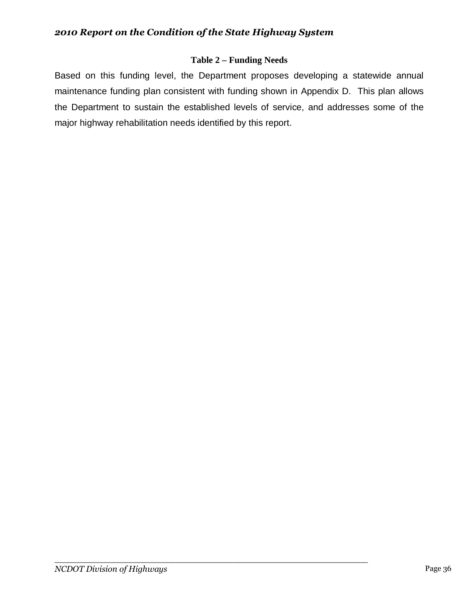## **Table 2 – Funding Needs**

Based on this funding level, the Department proposes developing a statewide annual maintenance funding plan consistent with funding shown in Appendix D. This plan allows the Department to sustain the established levels of service, and addresses some of the major highway rehabilitation needs identified by this report.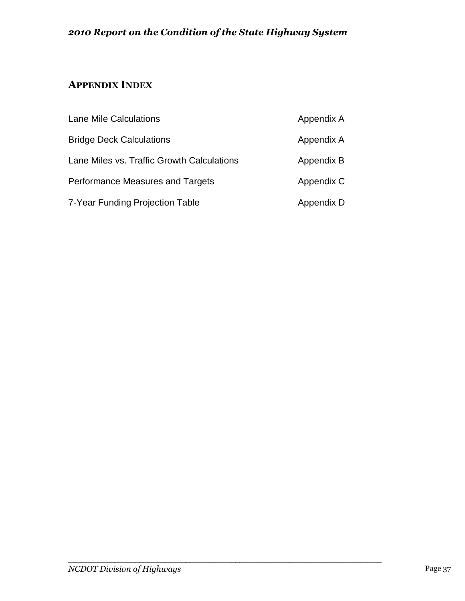## **APPENDIX INDEX**

| Lane Mile Calculations                     | Appendix A |
|--------------------------------------------|------------|
| <b>Bridge Deck Calculations</b>            | Appendix A |
| Lane Miles vs. Traffic Growth Calculations | Appendix B |
| Performance Measures and Targets           | Appendix C |
| 7-Year Funding Projection Table            | Appendix D |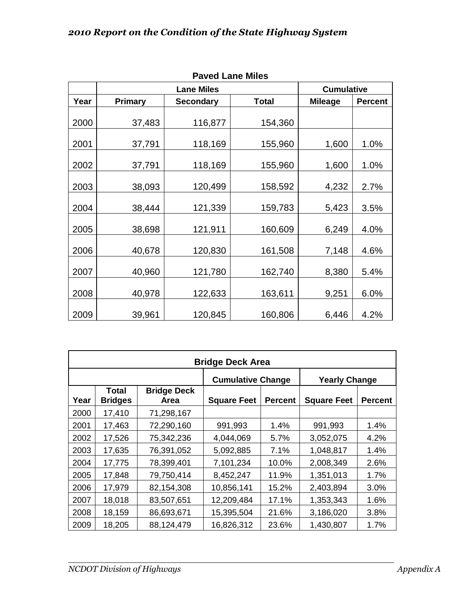| ו מעכט במוו <del>כ</del> ואוווכ |                |                   |                  |                   |                |  |  |  |  |  |  |  |  |
|---------------------------------|----------------|-------------------|------------------|-------------------|----------------|--|--|--|--|--|--|--|--|
|                                 |                | <b>Lane Miles</b> |                  | <b>Cumulative</b> |                |  |  |  |  |  |  |  |  |
| Year                            | <b>Primary</b> | <b>Secondary</b>  | <b>Total</b>     | <b>Mileage</b>    | <b>Percent</b> |  |  |  |  |  |  |  |  |
|                                 |                |                   |                  |                   |                |  |  |  |  |  |  |  |  |
| 2000                            | 37,483         | 116,877           | 154,360          |                   |                |  |  |  |  |  |  |  |  |
| 2001                            | 37,791         | 118,169           | 155,960          | 1,600             | 1.0%           |  |  |  |  |  |  |  |  |
| 2002                            | 37,791         | 118,169           | 155,960          | 1,600             | 1.0%           |  |  |  |  |  |  |  |  |
| 2003                            | 38,093         | 120,499           | 158,592          | 4,232             | 2.7%           |  |  |  |  |  |  |  |  |
| 2004                            | 38,444         | 121,339           | 159,783          | 5,423             | 3.5%           |  |  |  |  |  |  |  |  |
| 2005                            | 38,698         | 121,911           | 160,609<br>6,249 |                   | 4.0%           |  |  |  |  |  |  |  |  |
| 2006                            | 40,678         | 120,830           | 161,508          | 7,148             | 4.6%           |  |  |  |  |  |  |  |  |
| 2007                            | 40,960         | 121,780           | 162,740          | 8,380             | 5.4%           |  |  |  |  |  |  |  |  |
| 2008                            | 40,978         | 122,633           | 163,611          | 9,251             | 6.0%           |  |  |  |  |  |  |  |  |
| 2009                            | 39,961         | 120,845           | 160,806          | 6,446             | 4.2%           |  |  |  |  |  |  |  |  |

|  | <b>Paved Lane Miles</b> |
|--|-------------------------|
|--|-------------------------|

| <b>Bridge Deck Area</b> |                         |                                   |                      |                |                    |                |  |  |  |  |  |  |  |
|-------------------------|-------------------------|-----------------------------------|----------------------|----------------|--------------------|----------------|--|--|--|--|--|--|--|
|                         |                         | <b>Cumulative Change</b>          | <b>Yearly Change</b> |                |                    |                |  |  |  |  |  |  |  |
| Year                    | Total<br><b>Bridges</b> | <b>Bridge Deck</b><br><b>Area</b> | <b>Square Feet</b>   | <b>Percent</b> | <b>Square Feet</b> | <b>Percent</b> |  |  |  |  |  |  |  |
| 2000                    | 17,410                  | 71,298,167                        |                      |                |                    |                |  |  |  |  |  |  |  |
| 2001                    | 17,463                  | 72,290,160                        | 991,993              | 1.4%           | 991,993            | 1.4%           |  |  |  |  |  |  |  |
| 2002                    | 17,526                  | 75,342,236                        | 4,044,069            | 5.7%           | 3,052,075          | 4.2%           |  |  |  |  |  |  |  |
| 2003                    | 17,635                  | 76,391,052                        | 5,092,885            | 7.1%           | 1,048,817          | 1.4%           |  |  |  |  |  |  |  |
| 2004                    | 17,775                  | 78,399,401                        | 7,101,234            | 10.0%          | 2,008,349          | 2.6%           |  |  |  |  |  |  |  |
| 2005                    | 17,848                  | 79,750,414                        | 8,452,247            | 11.9%          | 1,351,013          | 1.7%           |  |  |  |  |  |  |  |
| 2006                    | 17,979                  | 82,154,308                        | 10,856,141           | 15.2%          | 2,403,894          | 3.0%           |  |  |  |  |  |  |  |
| 2007                    | 18,018                  | 83,507,651                        | 12,209,484           | 17.1%          | 1,353,343          | 1.6%           |  |  |  |  |  |  |  |
| 2008                    | 18,159                  | 86,693,671                        | 15,395,504           | 21.6%          | 3,186,020          | 3.8%           |  |  |  |  |  |  |  |
| 2009                    | 18,205                  | 88,124,479                        | 16,826,312           | 23.6%          | 1,430,807          | 1.7%           |  |  |  |  |  |  |  |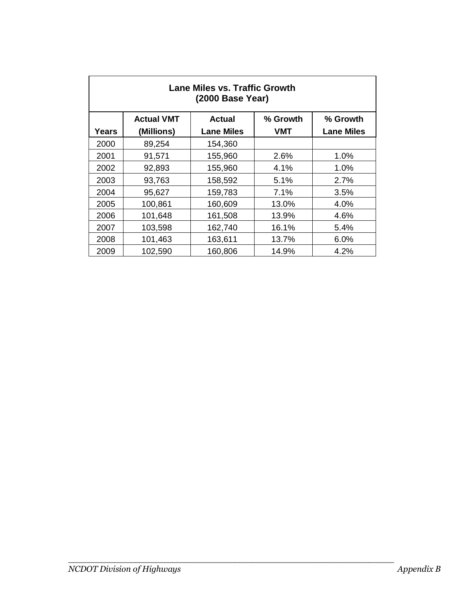| Lane Miles vs. Traffic Growth<br>(2000 Base Year) |                                                            |                   |            |                   |  |  |  |  |  |  |  |  |
|---------------------------------------------------|------------------------------------------------------------|-------------------|------------|-------------------|--|--|--|--|--|--|--|--|
|                                                   | <b>Actual VMT</b><br>% Growth<br><b>Actual</b><br>% Growth |                   |            |                   |  |  |  |  |  |  |  |  |
| Years                                             | (Millions)                                                 | <b>Lane Miles</b> | <b>VMT</b> | <b>Lane Miles</b> |  |  |  |  |  |  |  |  |
| 2000                                              | 89,254                                                     | 154,360           |            |                   |  |  |  |  |  |  |  |  |
| 2001                                              | 91,571                                                     | 155,960           | 2.6%       | 1.0%              |  |  |  |  |  |  |  |  |
| 2002                                              | 92,893                                                     | 155,960           | 4.1%       | 1.0%              |  |  |  |  |  |  |  |  |
| 2003                                              | 93,763                                                     | 158,592           | 5.1%       | 2.7%              |  |  |  |  |  |  |  |  |
| 2004                                              | 95,627                                                     | 159,783           | 7.1%       | 3.5%              |  |  |  |  |  |  |  |  |
| 2005                                              | 100,861                                                    | 160,609           | 13.0%      | 4.0%              |  |  |  |  |  |  |  |  |
| 2006                                              | 101,648                                                    | 161,508           | 13.9%      | 4.6%              |  |  |  |  |  |  |  |  |
| 2007                                              | 103,598                                                    | 162,740           | 16.1%      | 5.4%              |  |  |  |  |  |  |  |  |
| 2008                                              | 101,463                                                    | 163,611           | 13.7%      | 6.0%              |  |  |  |  |  |  |  |  |
| 2009                                              | 102,590                                                    | 160,806           | 14.9%      | 4.2%              |  |  |  |  |  |  |  |  |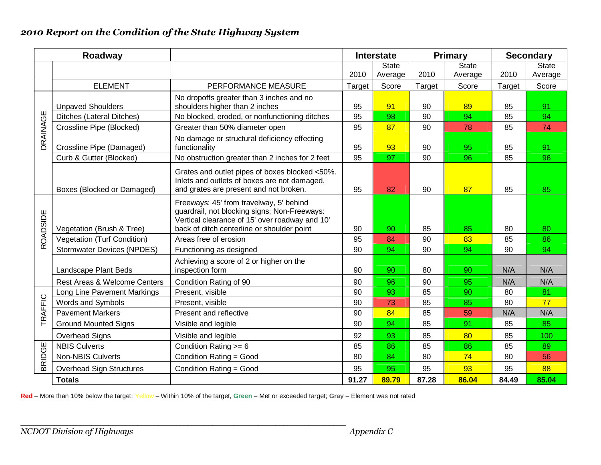|          | Roadway                            |                                                                                                                                                                                         | <b>Interstate</b> |              |        | <b>Primary</b> | <b>Secondary</b> |              |  |
|----------|------------------------------------|-----------------------------------------------------------------------------------------------------------------------------------------------------------------------------------------|-------------------|--------------|--------|----------------|------------------|--------------|--|
|          |                                    |                                                                                                                                                                                         |                   | <b>State</b> |        | <b>State</b>   |                  | <b>State</b> |  |
|          |                                    |                                                                                                                                                                                         | 2010              | Average      | 2010   | Average        | 2010             | Average      |  |
|          | <b>ELEMENT</b>                     | PERFORMANCE MEASURE                                                                                                                                                                     | Target            | Score        | Target | Score          | Target           | Score        |  |
|          |                                    | No dropoffs greater than 3 inches and no                                                                                                                                                |                   |              |        |                |                  |              |  |
|          | <b>Unpaved Shoulders</b>           | shoulders higher than 2 inches                                                                                                                                                          | 95                | 91           | 90     | 89             | 85               | 91           |  |
|          | <b>Ditches (Lateral Ditches)</b>   | No blocked, eroded, or nonfunctioning ditches                                                                                                                                           | 95                | 98           | 90     | 94             | 85               | 94           |  |
|          | Crossline Pipe (Blocked)           | Greater than 50% diameter open                                                                                                                                                          | 95                | 87           | 90     | 78             | 85               | 74           |  |
| DRAINAGE | Crossline Pipe (Damaged)           | No damage or structural deficiency effecting<br>functionality                                                                                                                           | 95                | 93           | 90     | 95             | 85               | 91           |  |
|          | Curb & Gutter (Blocked)            | No obstruction greater than 2 inches for 2 feet                                                                                                                                         | 95                | 97           | 90     | 96             | 85               | 96           |  |
|          | Boxes (Blocked or Damaged)         | Grates and outlet pipes of boxes blocked <50%.<br>Inlets and outlets of boxes are not damaged,<br>and grates are present and not broken.                                                | 95                | 82           | 90     | 87             | 85               | 85           |  |
| ROADSIDE | Vegetation (Brush & Tree)          | Freeways: 45' from travelway, 5' behind<br>guardrail, not blocking signs; Non-Freeways:<br>Vertical clearance of 15' over roadway and 10'<br>back of ditch centerline or shoulder point | 90                | 90           | 85     | 85             | 80               | 80           |  |
|          | <b>Vegetation (Turf Condition)</b> | Areas free of erosion                                                                                                                                                                   | 95                | 84           | 90     | 83             | 85               | 86           |  |
|          | <b>Stormwater Devices (NPDES)</b>  | Functioning as designed                                                                                                                                                                 | 90                | 94           | 90     | 94             | 90               | 94           |  |
|          | Landscape Plant Beds               | Achieving a score of 2 or higher on the<br>inspection form                                                                                                                              | 90                | 90           | 80     | 90             | N/A              | N/A          |  |
|          | Rest Areas & Welcome Centers       | Condition Rating of 90                                                                                                                                                                  | 90                | 96           | 90     | 95             | N/A              | N/A          |  |
|          | Long Line Pavement Markings        | Present, visible                                                                                                                                                                        | 90                | 93           | 85     | 90             | 80               | 81           |  |
| TRAFFIC  | Words and Symbols                  | Present, visible                                                                                                                                                                        | 90                | 73           | 85     | 85             | 80               | 77           |  |
|          | <b>Pavement Markers</b>            | Present and reflective                                                                                                                                                                  | 90                | 84           | 85     | 59             | N/A              | N/A          |  |
|          | <b>Ground Mounted Signs</b>        | Visible and legible                                                                                                                                                                     | 90                | 94           | 85     | 91             | 85               | 85           |  |
|          | Overhead Signs                     | Visible and legible                                                                                                                                                                     | 92                | 93           | 85     | 80             | 85               | 100          |  |
|          | <b>NBIS Culverts</b>               | Condition Rating $>= 6$                                                                                                                                                                 | 85                | 86           | 85     | 86             | 85               | 89           |  |
| BRIDGE   | Non-NBIS Culverts                  | Condition Rating = Good                                                                                                                                                                 | 80                | 84           | 80     | 74             | 80               | 56           |  |
|          | <b>Overhead Sign Structures</b>    | Condition Rating = Good                                                                                                                                                                 | 95                | 95           | 95     | 93             | 95               | 88           |  |
|          | <b>Totals</b>                      |                                                                                                                                                                                         | 91.27             | 89.79        | 87.28  | 86.04          | 84.49            | 85.04        |  |

**Red** – More than 10% below the target; Yellow – Within 10% of the target, **Green** – Met or exceeded target; **Gray** – Element was not rated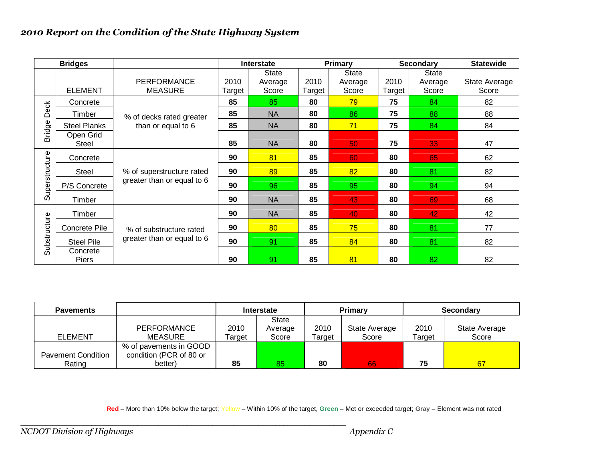|                | <b>Bridges</b>      |                                      |                | <b>Primary</b><br><b>Interstate</b> |                | <b>Secondary</b>          |                | <b>Statewide</b>                 |                        |
|----------------|---------------------|--------------------------------------|----------------|-------------------------------------|----------------|---------------------------|----------------|----------------------------------|------------------------|
|                | <b>ELEMENT</b>      | <b>PERFORMANCE</b><br><b>MEASURE</b> | 2010<br>Target | <b>State</b><br>Average<br>Score    | 2010<br>Target | State<br>Average<br>Score | 2010<br>Target | <b>State</b><br>Average<br>Score | State Average<br>Score |
|                | Concrete            |                                      | 85             | 85                                  | 80             | 79                        | 75             | 84                               | 82                     |
| <b>Deck</b>    | Timber              | % of decks rated greater             | 85             | <b>NA</b>                           | 80             | 86                        | 75             | 88                               | 88                     |
|                | <b>Steel Planks</b> | than or equal to 6                   | 85             | <b>NA</b>                           | 80             | 71                        | 75             | 84                               | 84                     |
| <b>Bridge</b>  | Open Grid<br>Steel  |                                      | 85             | <b>NA</b>                           | 80             | 50                        | 75             | 33                               | 47                     |
|                | Concrete            |                                      | 90             | 81                                  | 85             | 60                        | 80             | 65                               | 62                     |
| Superstructure | <b>Steel</b>        | % of superstructure rated            | 90             | 89                                  | 85             | 82                        | 80             | 81                               | 82                     |
|                | P/S Concrete        | greater than or equal to 6           | 90             | 96                                  | 85             | 95                        | 80             | 94                               | 94                     |
|                | Timber              |                                      | 90             | <b>NA</b>                           | 85             | 43                        | 80             | 69                               | 68                     |
|                | Timber              |                                      | 90             | <b>NA</b>                           | 85             | 40                        | 80             | 42                               | 42                     |
|                | Concrete Pile       | % of substructure rated              | 90             | 80                                  | 85             | 75                        | 80             | 81                               | 77                     |
| Substructure   | <b>Steel Pile</b>   | greater than or equal to 6           | 90             | 91                                  | 85             | 84                        | 80             | 81                               | 82                     |
|                | Concrete<br>Piers   |                                      | 90             | 91                                  | 85             | 81                        | 80             | 82                               | 82                     |

| <b>Pavements</b>          |                         | Interstate      |              |          | <b>Primary</b> | <b>Secondary</b> |               |  |
|---------------------------|-------------------------|-----------------|--------------|----------|----------------|------------------|---------------|--|
|                           |                         |                 | <b>State</b> |          |                |                  |               |  |
|                           | <b>PERFORMANCE</b>      | 2010            | Average      | 2010     | State Average  | 2010             | State Average |  |
| <b>ELEMENT</b>            | MEASURE                 | Score<br>Target |              | Target   | Score          | Target           | Score         |  |
|                           | % of pavements in GOOD  |                 |              |          |                |                  |               |  |
| <b>Pavement Condition</b> | condition (PCR of 80 or |                 |              |          |                |                  |               |  |
| Rating                    | better)                 | 85              | 85           | 80<br>66 |                | 75               | 67            |  |

**Red** – More than 10% below the target; Yellow – Within 10% of the target, **Green** – Met or exceeded target; **Gray** – Element was not rated